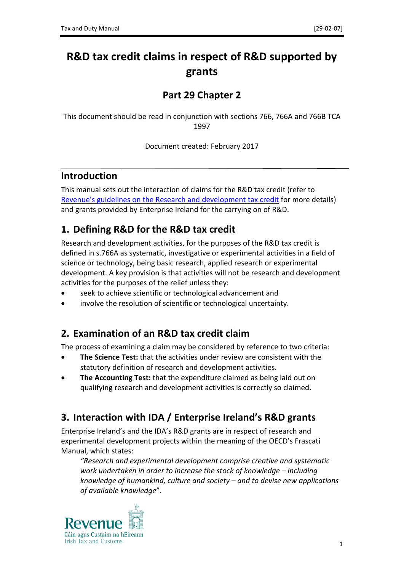# **R&D tax credit claims in respect of R&D supported by grants**

## **Part 29 Chapter 2**

This document should be read in conjunction with sections 766, 766A and 766B TCA 1997

Document created: February 2017

#### **Introduction**

This manual sets out the interaction of claims for the R&D tax credit (refer to [Revenue's](http://www.revenue.ie/en/tax/ct/leaflets/research-dev.pdf) [guidelines](http://www.revenue.ie/en/tax/ct/leaflets/research-dev.pdf) [on](http://www.revenue.ie/en/tax/ct/leaflets/research-dev.pdf) [the](http://www.revenue.ie/en/tax/ct/leaflets/research-dev.pdf) [Research](http://www.revenue.ie/en/tax/ct/leaflets/research-dev.pdf) [and](http://www.revenue.ie/en/tax/ct/leaflets/research-dev.pdf) [development](http://www.revenue.ie/en/tax/ct/leaflets/research-dev.pdf) [tax](http://www.revenue.ie/en/tax/ct/leaflets/research-dev.pdf) [credit](http://www.revenue.ie/en/tax/ct/leaflets/research-dev.pdf) for more details) and grants provided by Enterprise Ireland for the carrying on of R&D.

## **1. Defining R&D for the R&D tax credit**

Research and development activities, for the purposes of the R&D tax credit is defined in s.766A as systematic, investigative or experimental activities in a field of science or technology, being basic research, applied research or experimental development. A key provision is that activities will not be research and development activities for the purposes of the relief unless they:

- seek to achieve scientific or technological advancement and
- involve the resolution of scientific or technological uncertainty.

## **2. Examination of an R&D tax credit claim**

The process of examining a claim may be considered by reference to two criteria:

- **The Science Test:** that the activities under review are consistent with the statutory definition of research and development activities.
- **The Accounting Test:** that the expenditure claimed as being laid out on qualifying research and development activities is correctly so claimed.

# **3. Interaction with IDA / Enterprise Ireland's R&D grants**

Enterprise Ireland's and the IDA's R&D grants are in respect of research and experimental development projects within the meaning of the OECD's Frascati Manual, which states:

*"Research and experimental development comprise creative and systematic work undertaken in order to increase the stock of knowledge – including knowledge of humankind, culture and society – and to devise new applications of available knowledge*".